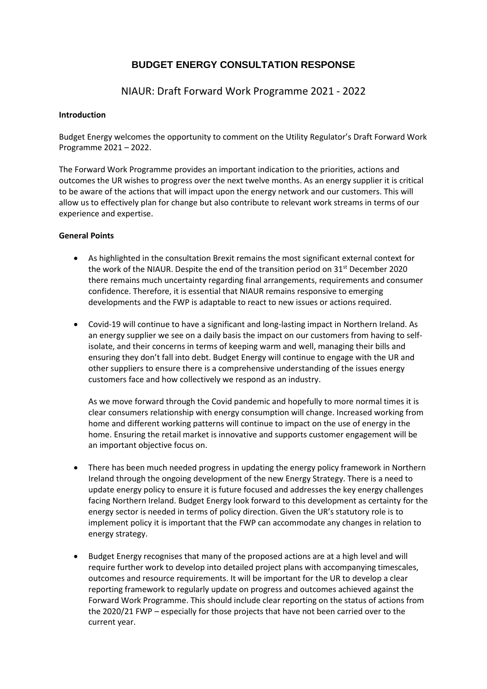# **BUDGET ENERGY CONSULTATION RESPONSE**

NIAUR: Draft Forward Work Programme 2021 - 2022

#### **Introduction**

Budget Energy welcomes the opportunity to comment on the Utility Regulator's Draft Forward Work Programme 2021 – 2022.

The Forward Work Programme provides an important indication to the priorities, actions and outcomes the UR wishes to progress over the next twelve months. As an energy supplier it is critical to be aware of the actions that will impact upon the energy network and our customers. This will allow us to effectively plan for change but also contribute to relevant work streams in terms of our experience and expertise.

### **General Points**

- As highlighted in the consultation Brexit remains the most significant external context for the work of the NIAUR. Despite the end of the transition period on 31<sup>st</sup> December 2020 there remains much uncertainty regarding final arrangements, requirements and consumer confidence. Therefore, it is essential that NIAUR remains responsive to emerging developments and the FWP is adaptable to react to new issues or actions required.
- Covid-19 will continue to have a significant and long-lasting impact in Northern Ireland. As an energy supplier we see on a daily basis the impact on our customers from having to selfisolate, and their concerns in terms of keeping warm and well, managing their bills and ensuring they don't fall into debt. Budget Energy will continue to engage with the UR and other suppliers to ensure there is a comprehensive understanding of the issues energy customers face and how collectively we respond as an industry.

As we move forward through the Covid pandemic and hopefully to more normal times it is clear consumers relationship with energy consumption will change. Increased working from home and different working patterns will continue to impact on the use of energy in the home. Ensuring the retail market is innovative and supports customer engagement will be an important objective focus on.

- There has been much needed progress in updating the energy policy framework in Northern Ireland through the ongoing development of the new Energy Strategy. There is a need to update energy policy to ensure it is future focused and addresses the key energy challenges facing Northern Ireland. Budget Energy look forward to this development as certainty for the energy sector is needed in terms of policy direction. Given the UR's statutory role is to implement policy it is important that the FWP can accommodate any changes in relation to energy strategy.
- Budget Energy recognises that many of the proposed actions are at a high level and will require further work to develop into detailed project plans with accompanying timescales, outcomes and resource requirements. It will be important for the UR to develop a clear reporting framework to regularly update on progress and outcomes achieved against the Forward Work Programme. This should include clear reporting on the status of actions from the 2020/21 FWP – especially for those projects that have not been carried over to the current year.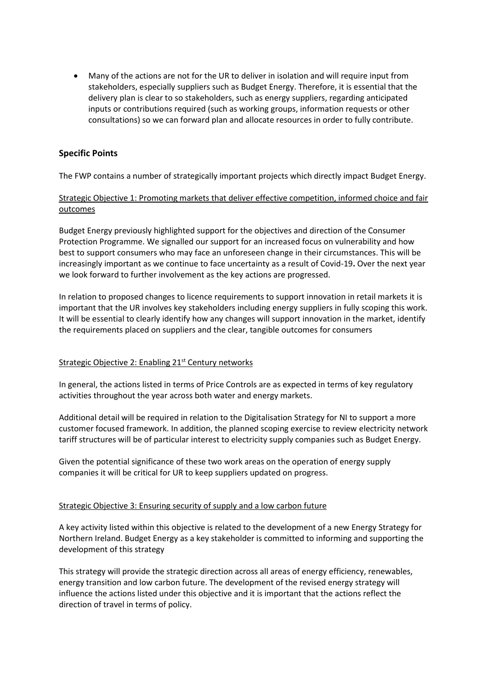• Many of the actions are not for the UR to deliver in isolation and will require input from stakeholders, especially suppliers such as Budget Energy. Therefore, it is essential that the delivery plan is clear to so stakeholders, such as energy suppliers, regarding anticipated inputs or contributions required (such as working groups, information requests or other consultations) so we can forward plan and allocate resources in order to fully contribute.

# **Specific Points**

The FWP contains a number of strategically important projects which directly impact Budget Energy.

# Strategic Objective 1: Promoting markets that deliver effective competition, informed choice and fair outcomes

Budget Energy previously highlighted support for the objectives and direction of the Consumer Protection Programme. We signalled our support for an increased focus on vulnerability and how best to support consumers who may face an unforeseen change in their circumstances. This will be increasingly important as we continue to face uncertainty as a result of Covid-19**.** Over the next year we look forward to further involvement as the key actions are progressed.

In relation to proposed changes to licence requirements to support innovation in retail markets it is important that the UR involves key stakeholders including energy suppliers in fully scoping this work. It will be essential to clearly identify how any changes will support innovation in the market, identify the requirements placed on suppliers and the clear, tangible outcomes for consumers

### Strategic Objective 2: Enabling 21<sup>st</sup> Century networks

In general, the actions listed in terms of Price Controls are as expected in terms of key regulatory activities throughout the year across both water and energy markets.

Additional detail will be required in relation to the Digitalisation Strategy for NI to support a more customer focused framework. In addition, the planned scoping exercise to review electricity network tariff structures will be of particular interest to electricity supply companies such as Budget Energy.

Given the potential significance of these two work areas on the operation of energy supply companies it will be critical for UR to keep suppliers updated on progress.

#### Strategic Objective 3: Ensuring security of supply and a low carbon future

A key activity listed within this objective is related to the development of a new Energy Strategy for Northern Ireland. Budget Energy as a key stakeholder is committed to informing and supporting the development of this strategy

This strategy will provide the strategic direction across all areas of energy efficiency, renewables, energy transition and low carbon future. The development of the revised energy strategy will influence the actions listed under this objective and it is important that the actions reflect the direction of travel in terms of policy.